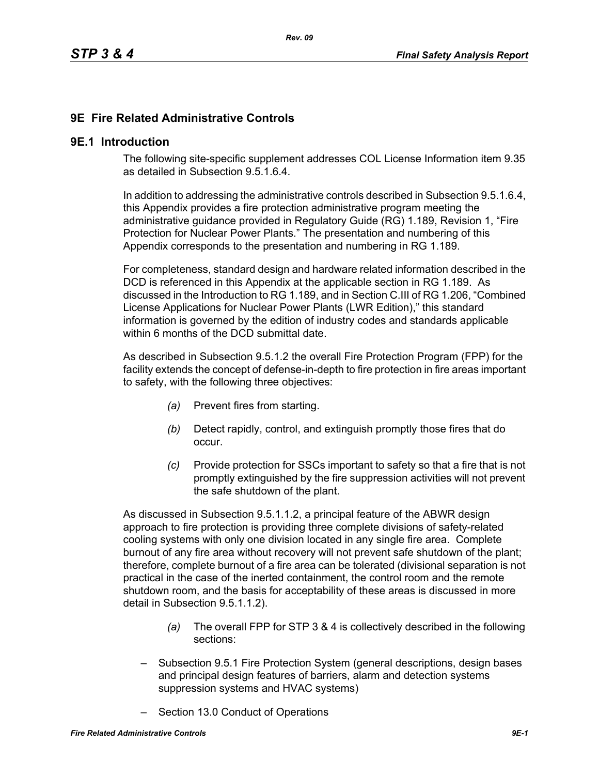# **9E Fire Related Administrative Controls**

#### **9E.1 Introduction**

The following site-specific supplement addresses COL License Information item 9.35 as detailed in Subsection 9.5.1.6.4.

In addition to addressing the administrative controls described in Subsection 9.5.1.6.4, this Appendix provides a fire protection administrative program meeting the administrative guidance provided in Regulatory Guide (RG) 1.189, Revision 1, "Fire Protection for Nuclear Power Plants." The presentation and numbering of this Appendix corresponds to the presentation and numbering in RG 1.189.

For completeness, standard design and hardware related information described in the DCD is referenced in this Appendix at the applicable section in RG 1.189. As discussed in the Introduction to RG 1.189, and in Section C.III of RG 1.206, "Combined License Applications for Nuclear Power Plants (LWR Edition)," this standard information is governed by the edition of industry codes and standards applicable within 6 months of the DCD submittal date.

As described in Subsection 9.5.1.2 the overall Fire Protection Program (FPP) for the facility extends the concept of defense-in-depth to fire protection in fire areas important to safety, with the following three objectives:

- *(a)* Prevent fires from starting.
- *(b)* Detect rapidly, control, and extinguish promptly those fires that do occur.
- *(c)* Provide protection for SSCs important to safety so that a fire that is not promptly extinguished by the fire suppression activities will not prevent the safe shutdown of the plant.

As discussed in Subsection 9.5.1.1.2, a principal feature of the ABWR design approach to fire protection is providing three complete divisions of safety-related cooling systems with only one division located in any single fire area. Complete burnout of any fire area without recovery will not prevent safe shutdown of the plant; therefore, complete burnout of a fire area can be tolerated (divisional separation is not practical in the case of the inerted containment, the control room and the remote shutdown room, and the basis for acceptability of these areas is discussed in more detail in Subsection 9.5.1.1.2).

- *(a)* The overall FPP for STP 3 & 4 is collectively described in the following sections:
- Subsection 9.5.1 Fire Protection System (general descriptions, design bases and principal design features of barriers, alarm and detection systems suppression systems and HVAC systems)
- Section 13.0 Conduct of Operations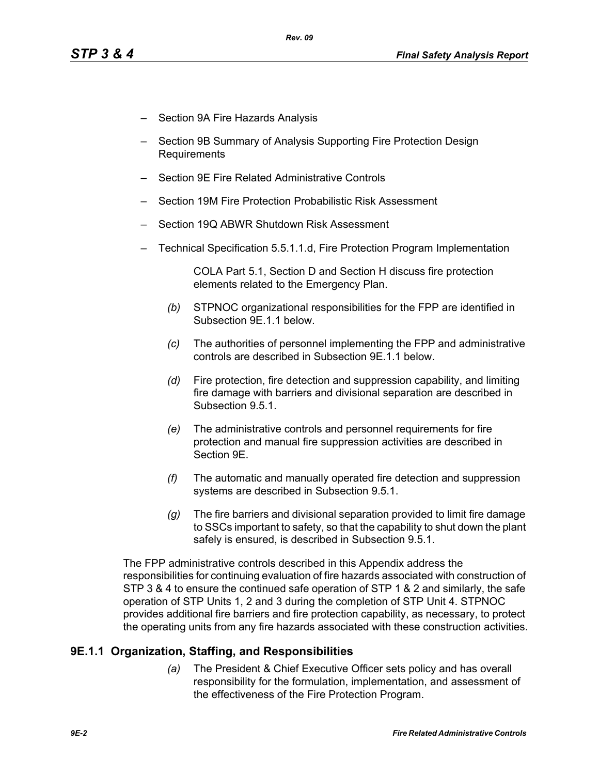- Section 9A Fire Hazards Analysis
- Section 9B Summary of Analysis Supporting Fire Protection Design Requirements
- Section 9E Fire Related Administrative Controls
- Section 19M Fire Protection Probabilistic Risk Assessment
- Section 19Q ABWR Shutdown Risk Assessment
- Technical Specification 5.5.1.1.d, Fire Protection Program Implementation

COLA Part 5.1, Section D and Section H discuss fire protection elements related to the Emergency Plan.

- *(b)* STPNOC organizational responsibilities for the FPP are identified in Subsection 9E.1.1 below.
- *(c)* The authorities of personnel implementing the FPP and administrative controls are described in Subsection 9E.1.1 below.
- *(d)* Fire protection, fire detection and suppression capability, and limiting fire damage with barriers and divisional separation are described in Subsection 9.5.1.
- *(e)* The administrative controls and personnel requirements for fire protection and manual fire suppression activities are described in Section 9E.
- *(f)* The automatic and manually operated fire detection and suppression systems are described in Subsection 9.5.1.
- *(g)* The fire barriers and divisional separation provided to limit fire damage to SSCs important to safety, so that the capability to shut down the plant safely is ensured, is described in Subsection 9.5.1.

The FPP administrative controls described in this Appendix address the responsibilities for continuing evaluation of fire hazards associated with construction of STP 3 & 4 to ensure the continued safe operation of STP 1 & 2 and similarly, the safe operation of STP Units 1, 2 and 3 during the completion of STP Unit 4. STPNOC provides additional fire barriers and fire protection capability, as necessary, to protect the operating units from any fire hazards associated with these construction activities.

## **9E.1.1 Organization, Staffing, and Responsibilities**

*(a)* The President & Chief Executive Officer sets policy and has overall responsibility for the formulation, implementation, and assessment of the effectiveness of the Fire Protection Program.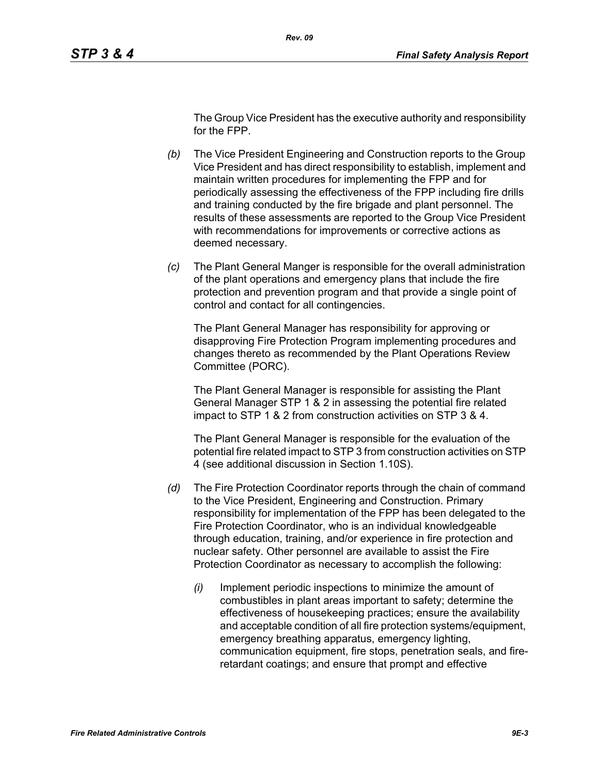The Group Vice President has the executive authority and responsibility for the FPP.

- *(b)* The Vice President Engineering and Construction reports to the Group Vice President and has direct responsibility to establish, implement and maintain written procedures for implementing the FPP and for periodically assessing the effectiveness of the FPP including fire drills and training conducted by the fire brigade and plant personnel. The results of these assessments are reported to the Group Vice President with recommendations for improvements or corrective actions as deemed necessary.
- *(c)* The Plant General Manger is responsible for the overall administration of the plant operations and emergency plans that include the fire protection and prevention program and that provide a single point of control and contact for all contingencies.

The Plant General Manager has responsibility for approving or disapproving Fire Protection Program implementing procedures and changes thereto as recommended by the Plant Operations Review Committee (PORC).

The Plant General Manager is responsible for assisting the Plant General Manager STP 1 & 2 in assessing the potential fire related impact to STP 1 & 2 from construction activities on STP 3 & 4.

The Plant General Manager is responsible for the evaluation of the potential fire related impact to STP 3 from construction activities on STP 4 (see additional discussion in Section 1.10S).

- *(d)* The Fire Protection Coordinator reports through the chain of command to the Vice President, Engineering and Construction. Primary responsibility for implementation of the FPP has been delegated to the Fire Protection Coordinator, who is an individual knowledgeable through education, training, and/or experience in fire protection and nuclear safety. Other personnel are available to assist the Fire Protection Coordinator as necessary to accomplish the following:
	- *(i)* Implement periodic inspections to minimize the amount of combustibles in plant areas important to safety; determine the effectiveness of housekeeping practices; ensure the availability and acceptable condition of all fire protection systems/equipment, emergency breathing apparatus, emergency lighting, communication equipment, fire stops, penetration seals, and fireretardant coatings; and ensure that prompt and effective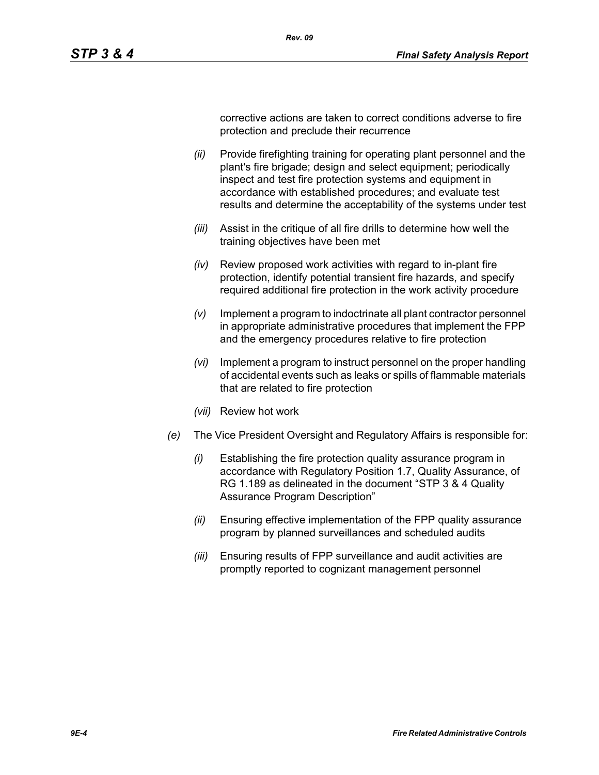corrective actions are taken to correct conditions adverse to fire protection and preclude their recurrence

*(ii)* Provide firefighting training for operating plant personnel and the plant's fire brigade; design and select equipment; periodically inspect and test fire protection systems and equipment in accordance with established procedures; and evaluate test results and determine the acceptability of the systems under test

*Rev. 09*

- *(iii)* Assist in the critique of all fire drills to determine how well the training objectives have been met
- *(iv)* Review proposed work activities with regard to in-plant fire protection, identify potential transient fire hazards, and specify required additional fire protection in the work activity procedure
- *(v)* Implement a program to indoctrinate all plant contractor personnel in appropriate administrative procedures that implement the FPP and the emergency procedures relative to fire protection
- *(vi)* Implement a program to instruct personnel on the proper handling of accidental events such as leaks or spills of flammable materials that are related to fire protection
- *(vii)* Review hot work
- *(e)* The Vice President Oversight and Regulatory Affairs is responsible for:
	- *(i)* Establishing the fire protection quality assurance program in accordance with Regulatory Position 1.7, Quality Assurance, of RG 1.189 as delineated in the document "STP 3 & 4 Quality Assurance Program Description"
	- *(ii)* Ensuring effective implementation of the FPP quality assurance program by planned surveillances and scheduled audits
	- *(iii)* Ensuring results of FPP surveillance and audit activities are promptly reported to cognizant management personnel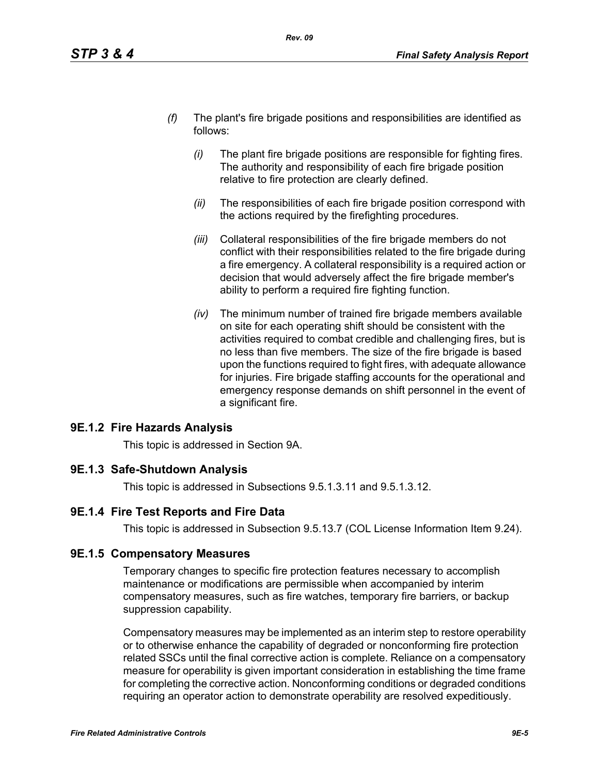- *(f)* The plant's fire brigade positions and responsibilities are identified as follows:
	- *(i)* The plant fire brigade positions are responsible for fighting fires. The authority and responsibility of each fire brigade position relative to fire protection are clearly defined.
	- *(ii)* The responsibilities of each fire brigade position correspond with the actions required by the firefighting procedures.
	- *(iii)* Collateral responsibilities of the fire brigade members do not conflict with their responsibilities related to the fire brigade during a fire emergency. A collateral responsibility is a required action or decision that would adversely affect the fire brigade member's ability to perform a required fire fighting function.
	- *(iv)* The minimum number of trained fire brigade members available on site for each operating shift should be consistent with the activities required to combat credible and challenging fires, but is no less than five members. The size of the fire brigade is based upon the functions required to fight fires, with adequate allowance for injuries. Fire brigade staffing accounts for the operational and emergency response demands on shift personnel in the event of a significant fire.

## **9E.1.2 Fire Hazards Analysis**

This topic is addressed in Section 9A.

## **9E.1.3 Safe-Shutdown Analysis**

This topic is addressed in Subsections 9.5.1.3.11 and 9.5.1.3.12.

# **9E.1.4 Fire Test Reports and Fire Data**

This topic is addressed in Subsection 9.5.13.7 (COL License Information Item 9.24).

## **9E.1.5 Compensatory Measures**

Temporary changes to specific fire protection features necessary to accomplish maintenance or modifications are permissible when accompanied by interim compensatory measures, such as fire watches, temporary fire barriers, or backup suppression capability.

Compensatory measures may be implemented as an interim step to restore operability or to otherwise enhance the capability of degraded or nonconforming fire protection related SSCs until the final corrective action is complete. Reliance on a compensatory measure for operability is given important consideration in establishing the time frame for completing the corrective action. Nonconforming conditions or degraded conditions requiring an operator action to demonstrate operability are resolved expeditiously.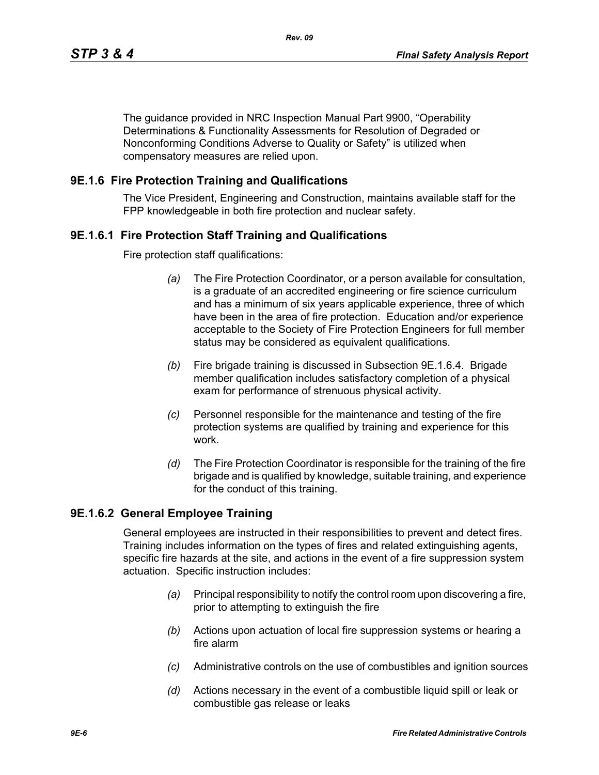The guidance provided in NRC Inspection Manual Part 9900, "Operability Determinations & Functionality Assessments for Resolution of Degraded or Nonconforming Conditions Adverse to Quality or Safety" is utilized when compensatory measures are relied upon.

### **9E.1.6 Fire Protection Training and Qualifications**

The Vice President, Engineering and Construction, maintains available staff for the FPP knowledgeable in both fire protection and nuclear safety.

### **9E.1.6.1 Fire Protection Staff Training and Qualifications**

Fire protection staff qualifications:

- *(a)* The Fire Protection Coordinator, or a person available for consultation, is a graduate of an accredited engineering or fire science curriculum and has a minimum of six years applicable experience, three of which have been in the area of fire protection. Education and/or experience acceptable to the Society of Fire Protection Engineers for full member status may be considered as equivalent qualifications.
- *(b)* Fire brigade training is discussed in Subsection 9E.1.6.4. Brigade member qualification includes satisfactory completion of a physical exam for performance of strenuous physical activity.
- *(c)* Personnel responsible for the maintenance and testing of the fire protection systems are qualified by training and experience for this work.
- *(d)* The Fire Protection Coordinator is responsible for the training of the fire brigade and is qualified by knowledge, suitable training, and experience for the conduct of this training.

#### **9E.1.6.2 General Employee Training**

General employees are instructed in their responsibilities to prevent and detect fires. Training includes information on the types of fires and related extinguishing agents, specific fire hazards at the site, and actions in the event of a fire suppression system actuation. Specific instruction includes:

- *(a)* Principal responsibility to notify the control room upon discovering a fire, prior to attempting to extinguish the fire
- *(b)* Actions upon actuation of local fire suppression systems or hearing a fire alarm
- *(c)* Administrative controls on the use of combustibles and ignition sources
- *(d)* Actions necessary in the event of a combustible liquid spill or leak or combustible gas release or leaks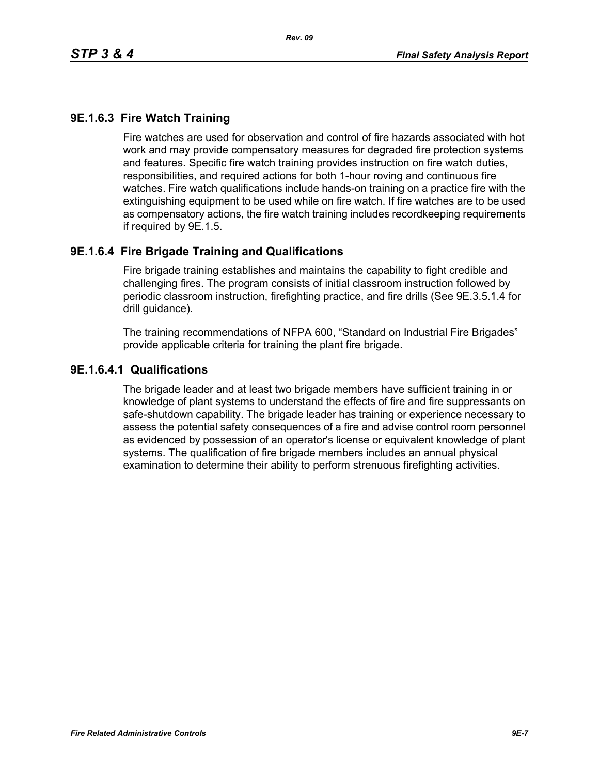## **9E.1.6.3 Fire Watch Training**

Fire watches are used for observation and control of fire hazards associated with hot work and may provide compensatory measures for degraded fire protection systems and features. Specific fire watch training provides instruction on fire watch duties, responsibilities, and required actions for both 1-hour roving and continuous fire watches. Fire watch qualifications include hands-on training on a practice fire with the extinguishing equipment to be used while on fire watch. If fire watches are to be used as compensatory actions, the fire watch training includes recordkeeping requirements if required by 9E.1.5.

### **9E.1.6.4 Fire Brigade Training and Qualifications**

Fire brigade training establishes and maintains the capability to fight credible and challenging fires. The program consists of initial classroom instruction followed by periodic classroom instruction, firefighting practice, and fire drills (See 9E.3.5.1.4 for drill guidance).

The training recommendations of NFPA 600, "Standard on Industrial Fire Brigades" provide applicable criteria for training the plant fire brigade.

#### **9E.1.6.4.1 Qualifications**

The brigade leader and at least two brigade members have sufficient training in or knowledge of plant systems to understand the effects of fire and fire suppressants on safe-shutdown capability. The brigade leader has training or experience necessary to assess the potential safety consequences of a fire and advise control room personnel as evidenced by possession of an operator's license or equivalent knowledge of plant systems. The qualification of fire brigade members includes an annual physical examination to determine their ability to perform strenuous firefighting activities.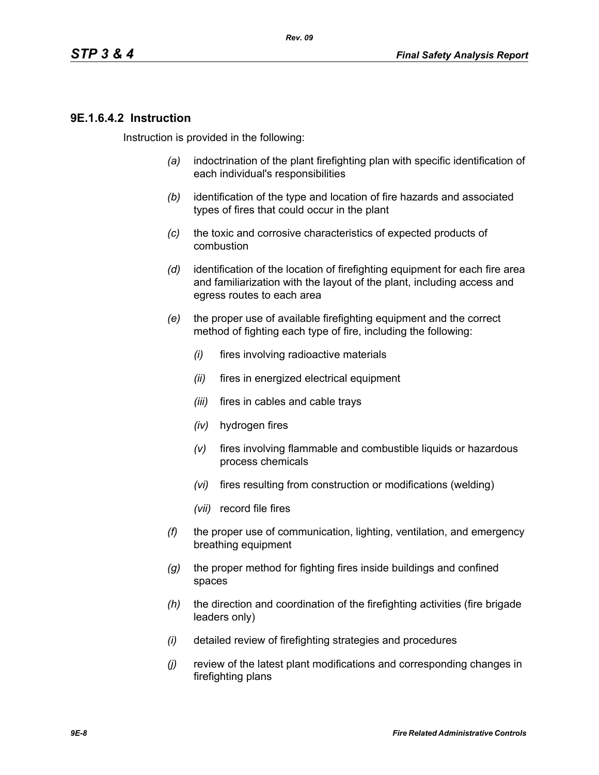### **9E.1.6.4.2 Instruction**

Instruction is provided in the following:

- *(a)* indoctrination of the plant firefighting plan with specific identification of each individual's responsibilities
- *(b)* identification of the type and location of fire hazards and associated types of fires that could occur in the plant
- *(c)* the toxic and corrosive characteristics of expected products of combustion
- *(d)* identification of the location of firefighting equipment for each fire area and familiarization with the layout of the plant, including access and egress routes to each area
- *(e)* the proper use of available firefighting equipment and the correct method of fighting each type of fire, including the following:
	- *(i)* fires involving radioactive materials
	- *(ii)* fires in energized electrical equipment
	- *(iii)* fires in cables and cable trays
	- *(iv)* hydrogen fires
	- *(v)* fires involving flammable and combustible liquids or hazardous process chemicals
	- *(vi)* fires resulting from construction or modifications (welding)
	- *(vii)* record file fires
- *(f)* the proper use of communication, lighting, ventilation, and emergency breathing equipment
- *(g)* the proper method for fighting fires inside buildings and confined spaces
- *(h)* the direction and coordination of the firefighting activities (fire brigade leaders only)
- *(i)* detailed review of firefighting strategies and procedures
- *(j)* review of the latest plant modifications and corresponding changes in firefighting plans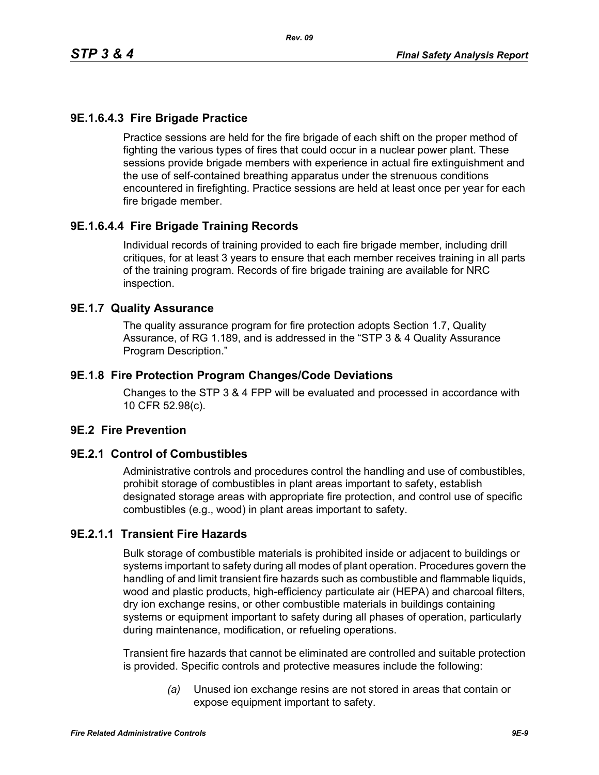## **9E.1.6.4.3 Fire Brigade Practice**

Practice sessions are held for the fire brigade of each shift on the proper method of fighting the various types of fires that could occur in a nuclear power plant. These sessions provide brigade members with experience in actual fire extinguishment and the use of self-contained breathing apparatus under the strenuous conditions encountered in firefighting. Practice sessions are held at least once per year for each fire brigade member.

# **9E.1.6.4.4 Fire Brigade Training Records**

Individual records of training provided to each fire brigade member, including drill critiques, for at least 3 years to ensure that each member receives training in all parts of the training program. Records of fire brigade training are available for NRC inspection.

#### **9E.1.7 Quality Assurance**

The quality assurance program for fire protection adopts Section 1.7, Quality Assurance, of RG 1.189, and is addressed in the "STP 3 & 4 Quality Assurance Program Description."

### **9E.1.8 Fire Protection Program Changes/Code Deviations**

Changes to the STP 3 & 4 FPP will be evaluated and processed in accordance with 10 CFR 52.98(c).

#### **9E.2 Fire Prevention**

#### **9E.2.1 Control of Combustibles**

Administrative controls and procedures control the handling and use of combustibles, prohibit storage of combustibles in plant areas important to safety, establish designated storage areas with appropriate fire protection, and control use of specific combustibles (e.g., wood) in plant areas important to safety.

## **9E.2.1.1 Transient Fire Hazards**

Bulk storage of combustible materials is prohibited inside or adjacent to buildings or systems important to safety during all modes of plant operation. Procedures govern the handling of and limit transient fire hazards such as combustible and flammable liquids, wood and plastic products, high-efficiency particulate air (HEPA) and charcoal filters, dry ion exchange resins, or other combustible materials in buildings containing systems or equipment important to safety during all phases of operation, particularly during maintenance, modification, or refueling operations.

Transient fire hazards that cannot be eliminated are controlled and suitable protection is provided. Specific controls and protective measures include the following:

> *(a)* Unused ion exchange resins are not stored in areas that contain or expose equipment important to safety.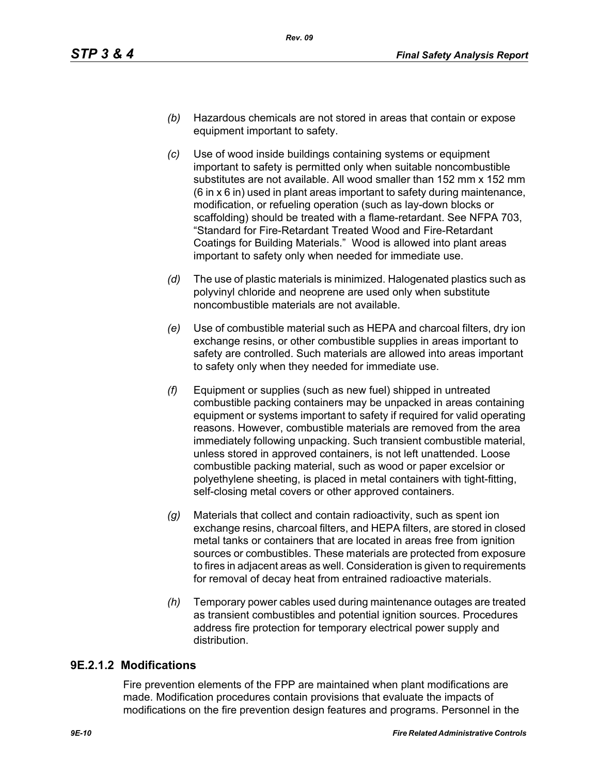- *(b)* Hazardous chemicals are not stored in areas that contain or expose equipment important to safety.
- *(c)* Use of wood inside buildings containing systems or equipment important to safety is permitted only when suitable noncombustible substitutes are not available. All wood smaller than 152 mm x 152 mm (6 in x 6 in) used in plant areas important to safety during maintenance, modification, or refueling operation (such as lay-down blocks or scaffolding) should be treated with a flame-retardant. See NFPA 703, "Standard for Fire-Retardant Treated Wood and Fire-Retardant Coatings for Building Materials." Wood is allowed into plant areas important to safety only when needed for immediate use.
- *(d)* The use of plastic materials is minimized. Halogenated plastics such as polyvinyl chloride and neoprene are used only when substitute noncombustible materials are not available.
- *(e)* Use of combustible material such as HEPA and charcoal filters, dry ion exchange resins, or other combustible supplies in areas important to safety are controlled. Such materials are allowed into areas important to safety only when they needed for immediate use.
- *(f)* Equipment or supplies (such as new fuel) shipped in untreated combustible packing containers may be unpacked in areas containing equipment or systems important to safety if required for valid operating reasons. However, combustible materials are removed from the area immediately following unpacking. Such transient combustible material, unless stored in approved containers, is not left unattended. Loose combustible packing material, such as wood or paper excelsior or polyethylene sheeting, is placed in metal containers with tight-fitting, self-closing metal covers or other approved containers.
- *(g)* Materials that collect and contain radioactivity, such as spent ion exchange resins, charcoal filters, and HEPA filters, are stored in closed metal tanks or containers that are located in areas free from ignition sources or combustibles. These materials are protected from exposure to fires in adjacent areas as well. Consideration is given to requirements for removal of decay heat from entrained radioactive materials.
- *(h)* Temporary power cables used during maintenance outages are treated as transient combustibles and potential ignition sources. Procedures address fire protection for temporary electrical power supply and distribution.

## **9E.2.1.2 Modifications**

Fire prevention elements of the FPP are maintained when plant modifications are made. Modification procedures contain provisions that evaluate the impacts of modifications on the fire prevention design features and programs. Personnel in the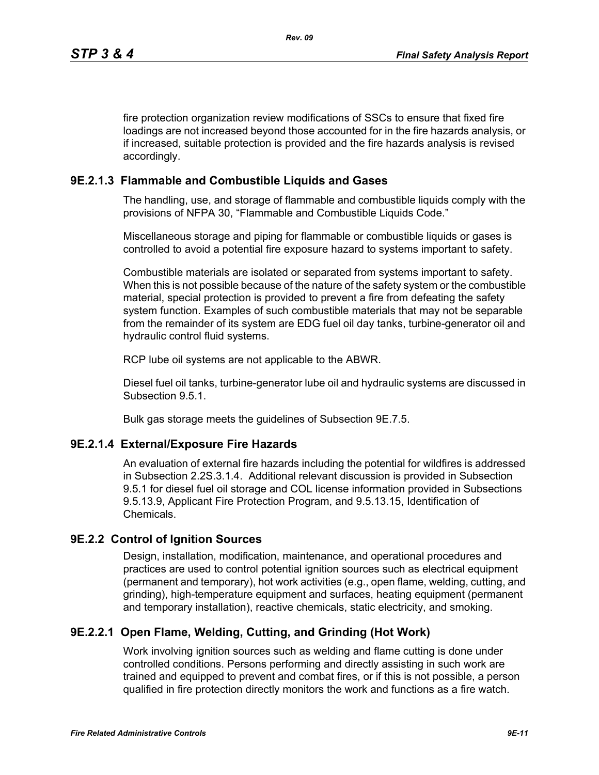fire protection organization review modifications of SSCs to ensure that fixed fire loadings are not increased beyond those accounted for in the fire hazards analysis, or if increased, suitable protection is provided and the fire hazards analysis is revised accordingly.

## **9E.2.1.3 Flammable and Combustible Liquids and Gases**

The handling, use, and storage of flammable and combustible liquids comply with the provisions of NFPA 30, "Flammable and Combustible Liquids Code."

Miscellaneous storage and piping for flammable or combustible liquids or gases is controlled to avoid a potential fire exposure hazard to systems important to safety.

Combustible materials are isolated or separated from systems important to safety. When this is not possible because of the nature of the safety system or the combustible material, special protection is provided to prevent a fire from defeating the safety system function. Examples of such combustible materials that may not be separable from the remainder of its system are EDG fuel oil day tanks, turbine-generator oil and hydraulic control fluid systems.

RCP lube oil systems are not applicable to the ABWR.

Diesel fuel oil tanks, turbine-generator lube oil and hydraulic systems are discussed in Subsection 9.5.1.

Bulk gas storage meets the guidelines of Subsection 9E.7.5.

## **9E.2.1.4 External/Exposure Fire Hazards**

An evaluation of external fire hazards including the potential for wildfires is addressed in Subsection 2.2S.3.1.4. Additional relevant discussion is provided in Subsection 9.5.1 for diesel fuel oil storage and COL license information provided in Subsections 9.5.13.9, Applicant Fire Protection Program, and 9.5.13.15, Identification of Chemicals.

## **9E.2.2 Control of Ignition Sources**

Design, installation, modification, maintenance, and operational procedures and practices are used to control potential ignition sources such as electrical equipment (permanent and temporary), hot work activities (e.g., open flame, welding, cutting, and grinding), high-temperature equipment and surfaces, heating equipment (permanent and temporary installation), reactive chemicals, static electricity, and smoking.

## **9E.2.2.1 Open Flame, Welding, Cutting, and Grinding (Hot Work)**

Work involving ignition sources such as welding and flame cutting is done under controlled conditions. Persons performing and directly assisting in such work are trained and equipped to prevent and combat fires, or if this is not possible, a person qualified in fire protection directly monitors the work and functions as a fire watch.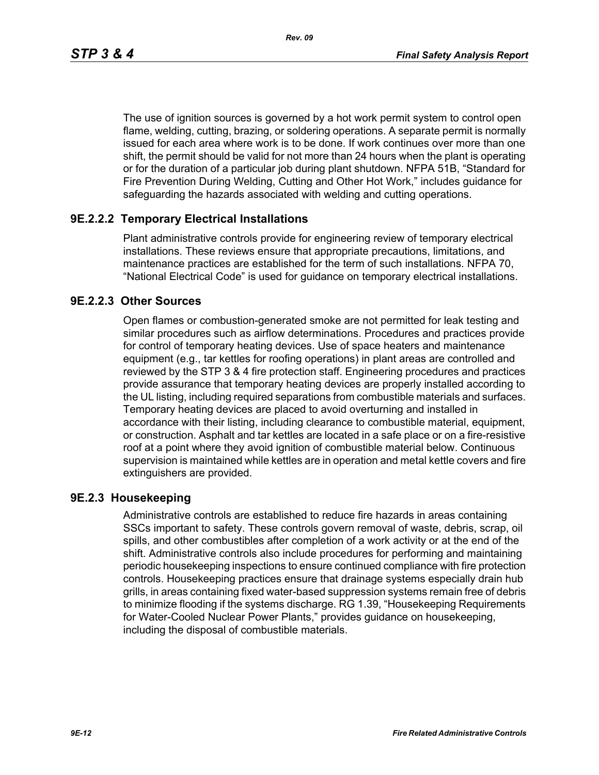*Rev. 09*

The use of ignition sources is governed by a hot work permit system to control open flame, welding, cutting, brazing, or soldering operations. A separate permit is normally issued for each area where work is to be done. If work continues over more than one shift, the permit should be valid for not more than 24 hours when the plant is operating or for the duration of a particular job during plant shutdown. NFPA 51B, "Standard for Fire Prevention During Welding, Cutting and Other Hot Work," includes guidance for safeguarding the hazards associated with welding and cutting operations.

## **9E.2.2.2 Temporary Electrical Installations**

Plant administrative controls provide for engineering review of temporary electrical installations. These reviews ensure that appropriate precautions, limitations, and maintenance practices are established for the term of such installations. NFPA 70, "National Electrical Code" is used for guidance on temporary electrical installations.

## **9E.2.2.3 Other Sources**

Open flames or combustion-generated smoke are not permitted for leak testing and similar procedures such as airflow determinations. Procedures and practices provide for control of temporary heating devices. Use of space heaters and maintenance equipment (e.g., tar kettles for roofing operations) in plant areas are controlled and reviewed by the STP 3 & 4 fire protection staff. Engineering procedures and practices provide assurance that temporary heating devices are properly installed according to the UL listing, including required separations from combustible materials and surfaces. Temporary heating devices are placed to avoid overturning and installed in accordance with their listing, including clearance to combustible material, equipment, or construction. Asphalt and tar kettles are located in a safe place or on a fire-resistive roof at a point where they avoid ignition of combustible material below. Continuous supervision is maintained while kettles are in operation and metal kettle covers and fire extinguishers are provided.

## **9E.2.3 Housekeeping**

Administrative controls are established to reduce fire hazards in areas containing SSCs important to safety. These controls govern removal of waste, debris, scrap, oil spills, and other combustibles after completion of a work activity or at the end of the shift. Administrative controls also include procedures for performing and maintaining periodic housekeeping inspections to ensure continued compliance with fire protection controls. Housekeeping practices ensure that drainage systems especially drain hub grills, in areas containing fixed water-based suppression systems remain free of debris to minimize flooding if the systems discharge. RG 1.39, "Housekeeping Requirements for Water-Cooled Nuclear Power Plants," provides guidance on housekeeping, including the disposal of combustible materials.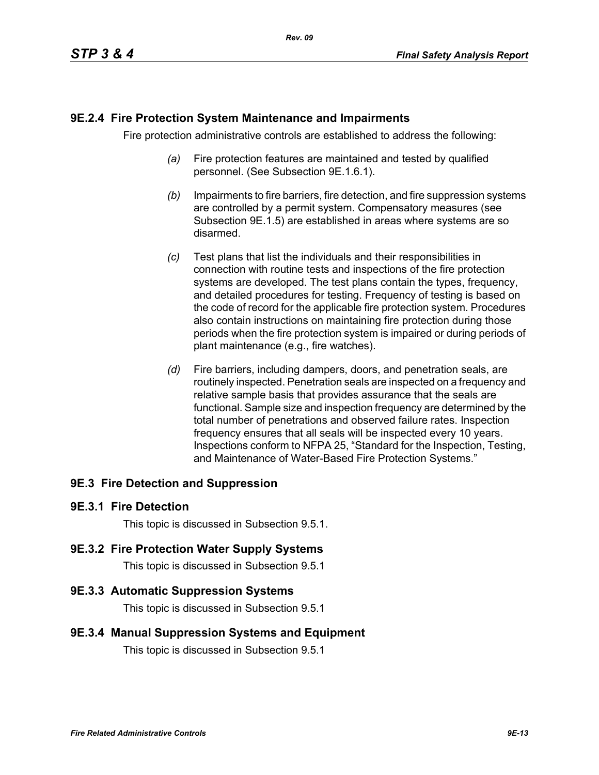### **9E.2.4 Fire Protection System Maintenance and Impairments**

Fire protection administrative controls are established to address the following:

- *(a)* Fire protection features are maintained and tested by qualified personnel. (See Subsection 9E.1.6.1).
- *(b)* Impairments to fire barriers, fire detection, and fire suppression systems are controlled by a permit system. Compensatory measures (see Subsection 9E.1.5) are established in areas where systems are so disarmed.
- *(c)* Test plans that list the individuals and their responsibilities in connection with routine tests and inspections of the fire protection systems are developed. The test plans contain the types, frequency, and detailed procedures for testing. Frequency of testing is based on the code of record for the applicable fire protection system. Procedures also contain instructions on maintaining fire protection during those periods when the fire protection system is impaired or during periods of plant maintenance (e.g., fire watches).
- *(d)* Fire barriers, including dampers, doors, and penetration seals, are routinely inspected. Penetration seals are inspected on a frequency and relative sample basis that provides assurance that the seals are functional. Sample size and inspection frequency are determined by the total number of penetrations and observed failure rates. Inspection frequency ensures that all seals will be inspected every 10 years. Inspections conform to NFPA 25, "Standard for the Inspection, Testing, and Maintenance of Water-Based Fire Protection Systems."

## **9E.3 Fire Detection and Suppression**

#### **9E.3.1 Fire Detection**

This topic is discussed in Subsection 9.5.1.

#### **9E.3.2 Fire Protection Water Supply Systems**

This topic is discussed in Subsection 9.5.1

#### **9E.3.3 Automatic Suppression Systems**

This topic is discussed in Subsection 9.5.1

#### **9E.3.4 Manual Suppression Systems and Equipment**

This topic is discussed in Subsection 9.5.1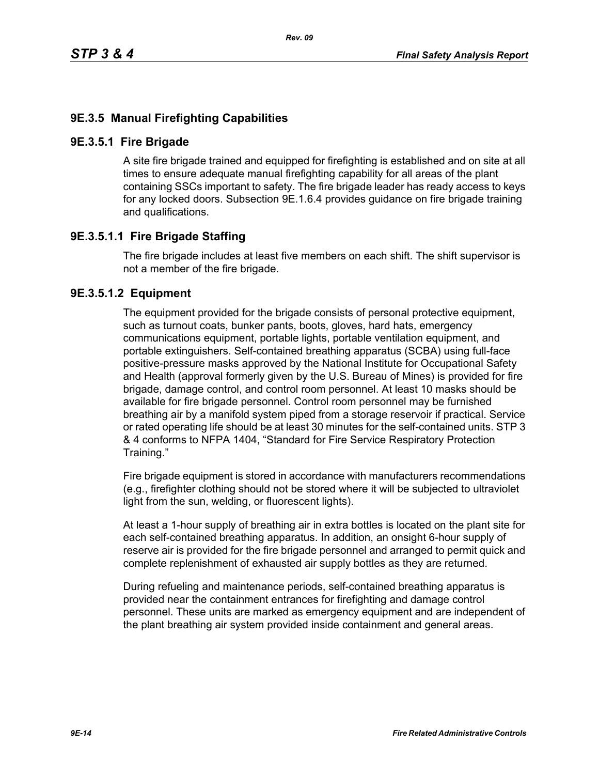## **9E.3.5 Manual Firefighting Capabilities**

#### **9E.3.5.1 Fire Brigade**

A site fire brigade trained and equipped for firefighting is established and on site at all times to ensure adequate manual firefighting capability for all areas of the plant containing SSCs important to safety. The fire brigade leader has ready access to keys for any locked doors. Subsection 9E.1.6.4 provides guidance on fire brigade training and qualifications.

## **9E.3.5.1.1 Fire Brigade Staffing**

The fire brigade includes at least five members on each shift. The shift supervisor is not a member of the fire brigade.

### **9E.3.5.1.2 Equipment**

The equipment provided for the brigade consists of personal protective equipment, such as turnout coats, bunker pants, boots, gloves, hard hats, emergency communications equipment, portable lights, portable ventilation equipment, and portable extinguishers. Self-contained breathing apparatus (SCBA) using full-face positive-pressure masks approved by the National Institute for Occupational Safety and Health (approval formerly given by the U.S. Bureau of Mines) is provided for fire brigade, damage control, and control room personnel. At least 10 masks should be available for fire brigade personnel. Control room personnel may be furnished breathing air by a manifold system piped from a storage reservoir if practical. Service or rated operating life should be at least 30 minutes for the self-contained units. STP 3 & 4 conforms to NFPA 1404, "Standard for Fire Service Respiratory Protection Training."

Fire brigade equipment is stored in accordance with manufacturers recommendations (e.g., firefighter clothing should not be stored where it will be subjected to ultraviolet light from the sun, welding, or fluorescent lights).

At least a 1-hour supply of breathing air in extra bottles is located on the plant site for each self-contained breathing apparatus. In addition, an onsight 6-hour supply of reserve air is provided for the fire brigade personnel and arranged to permit quick and complete replenishment of exhausted air supply bottles as they are returned.

During refueling and maintenance periods, self-contained breathing apparatus is provided near the containment entrances for firefighting and damage control personnel. These units are marked as emergency equipment and are independent of the plant breathing air system provided inside containment and general areas.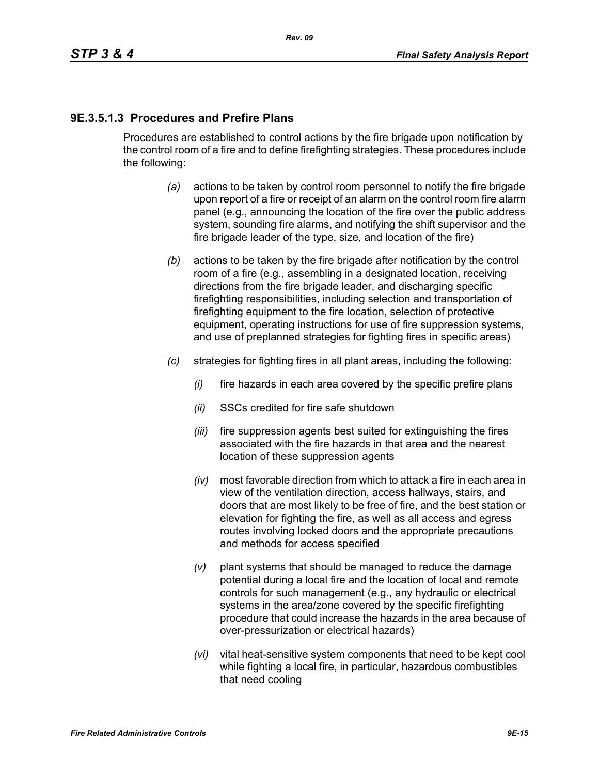# **9E.3.5.1.3 Procedures and Prefire Plans**

Procedures are established to control actions by the fire brigade upon notification by the control room of a fire and to define firefighting strategies. These procedures include the following:

- *(a)* actions to be taken by control room personnel to notify the fire brigade upon report of a fire or receipt of an alarm on the control room fire alarm panel (e.g., announcing the location of the fire over the public address system, sounding fire alarms, and notifying the shift supervisor and the fire brigade leader of the type, size, and location of the fire)
- *(b)* actions to be taken by the fire brigade after notification by the control room of a fire (e.g., assembling in a designated location, receiving directions from the fire brigade leader, and discharging specific firefighting responsibilities, including selection and transportation of firefighting equipment to the fire location, selection of protective equipment, operating instructions for use of fire suppression systems, and use of preplanned strategies for fighting fires in specific areas)
- *(c)* strategies for fighting fires in all plant areas, including the following:
	- *(i)* fire hazards in each area covered by the specific prefire plans
	- *(ii)* SSCs credited for fire safe shutdown
	- *(iii)* fire suppression agents best suited for extinguishing the fires associated with the fire hazards in that area and the nearest location of these suppression agents
	- *(iv)* most favorable direction from which to attack a fire in each area in view of the ventilation direction, access hallways, stairs, and doors that are most likely to be free of fire, and the best station or elevation for fighting the fire, as well as all access and egress routes involving locked doors and the appropriate precautions and methods for access specified
	- *(v)* plant systems that should be managed to reduce the damage potential during a local fire and the location of local and remote controls for such management (e.g., any hydraulic or electrical systems in the area/zone covered by the specific firefighting procedure that could increase the hazards in the area because of over-pressurization or electrical hazards)
	- *(vi)* vital heat-sensitive system components that need to be kept cool while fighting a local fire, in particular, hazardous combustibles that need cooling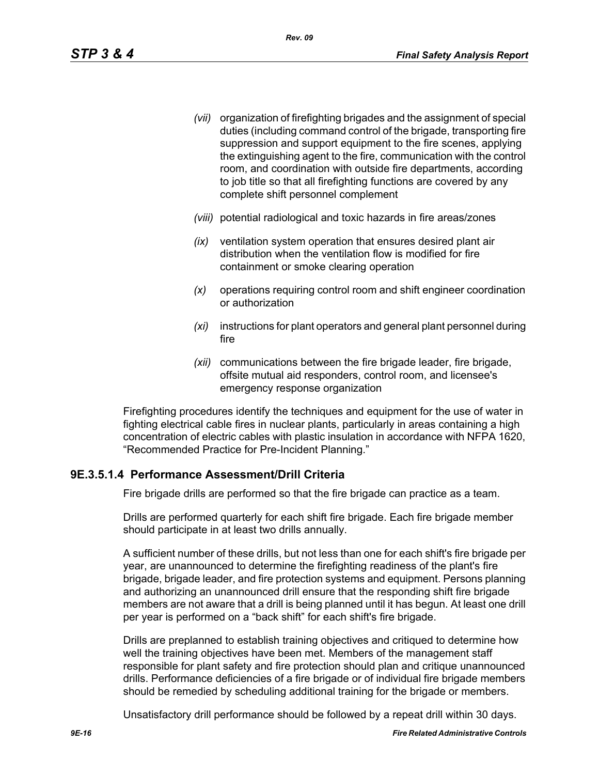- *(vii)* organization of firefighting brigades and the assignment of special duties (including command control of the brigade, transporting fire suppression and support equipment to the fire scenes, applying the extinguishing agent to the fire, communication with the control room, and coordination with outside fire departments, according to job title so that all firefighting functions are covered by any complete shift personnel complement
- *(viii)* potential radiological and toxic hazards in fire areas/zones
- *(ix)* ventilation system operation that ensures desired plant air distribution when the ventilation flow is modified for fire containment or smoke clearing operation
- *(x)* operations requiring control room and shift engineer coordination or authorization
- *(xi)* instructions for plant operators and general plant personnel during fire
- *(xii)* communications between the fire brigade leader, fire brigade, offsite mutual aid responders, control room, and licensee's emergency response organization

Firefighting procedures identify the techniques and equipment for the use of water in fighting electrical cable fires in nuclear plants, particularly in areas containing a high concentration of electric cables with plastic insulation in accordance with NFPA 1620, "Recommended Practice for Pre-Incident Planning."

## **9E.3.5.1.4 Performance Assessment/Drill Criteria**

Fire brigade drills are performed so that the fire brigade can practice as a team.

Drills are performed quarterly for each shift fire brigade. Each fire brigade member should participate in at least two drills annually.

A sufficient number of these drills, but not less than one for each shift's fire brigade per year, are unannounced to determine the firefighting readiness of the plant's fire brigade, brigade leader, and fire protection systems and equipment. Persons planning and authorizing an unannounced drill ensure that the responding shift fire brigade members are not aware that a drill is being planned until it has begun. At least one drill per year is performed on a "back shift" for each shift's fire brigade.

Drills are preplanned to establish training objectives and critiqued to determine how well the training objectives have been met. Members of the management staff responsible for plant safety and fire protection should plan and critique unannounced drills. Performance deficiencies of a fire brigade or of individual fire brigade members should be remedied by scheduling additional training for the brigade or members.

Unsatisfactory drill performance should be followed by a repeat drill within 30 days.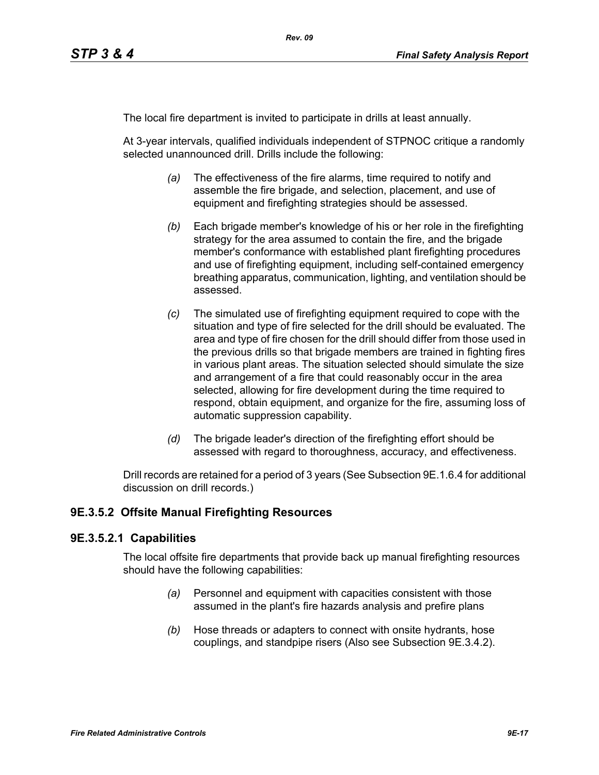The local fire department is invited to participate in drills at least annually.

At 3-year intervals, qualified individuals independent of STPNOC critique a randomly selected unannounced drill. Drills include the following:

- *(a)* The effectiveness of the fire alarms, time required to notify and assemble the fire brigade, and selection, placement, and use of equipment and firefighting strategies should be assessed.
- *(b)* Each brigade member's knowledge of his or her role in the firefighting strategy for the area assumed to contain the fire, and the brigade member's conformance with established plant firefighting procedures and use of firefighting equipment, including self-contained emergency breathing apparatus, communication, lighting, and ventilation should be assessed.
- *(c)* The simulated use of firefighting equipment required to cope with the situation and type of fire selected for the drill should be evaluated. The area and type of fire chosen for the drill should differ from those used in the previous drills so that brigade members are trained in fighting fires in various plant areas. The situation selected should simulate the size and arrangement of a fire that could reasonably occur in the area selected, allowing for fire development during the time required to respond, obtain equipment, and organize for the fire, assuming loss of automatic suppression capability.
- *(d)* The brigade leader's direction of the firefighting effort should be assessed with regard to thoroughness, accuracy, and effectiveness.

Drill records are retained for a period of 3 years (See Subsection 9E.1.6.4 for additional discussion on drill records.)

## **9E.3.5.2 Offsite Manual Firefighting Resources**

#### **9E.3.5.2.1 Capabilities**

The local offsite fire departments that provide back up manual firefighting resources should have the following capabilities:

- *(a)* Personnel and equipment with capacities consistent with those assumed in the plant's fire hazards analysis and prefire plans
- *(b)* Hose threads or adapters to connect with onsite hydrants, hose couplings, and standpipe risers (Also see Subsection 9E.3.4.2).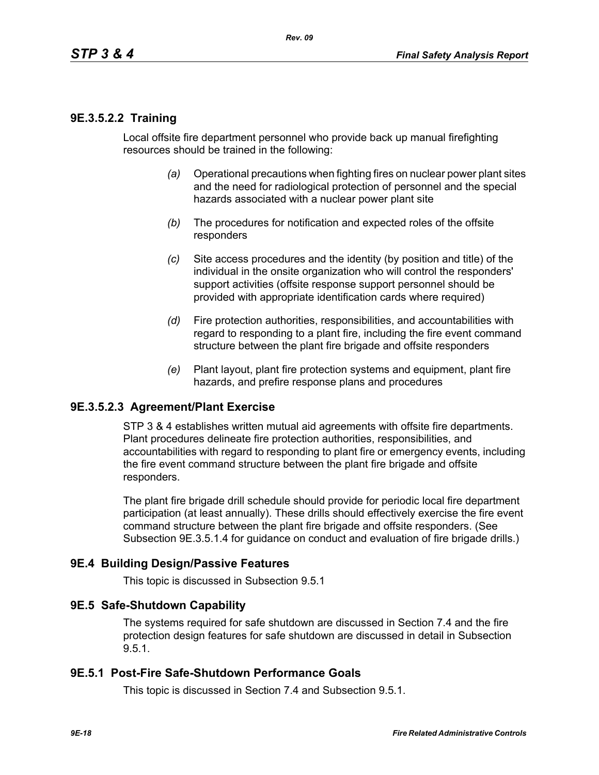### **9E.3.5.2.2 Training**

Local offsite fire department personnel who provide back up manual firefighting resources should be trained in the following:

- *(a)* Operational precautions when fighting fires on nuclear power plant sites and the need for radiological protection of personnel and the special hazards associated with a nuclear power plant site
- *(b)* The procedures for notification and expected roles of the offsite responders
- *(c)* Site access procedures and the identity (by position and title) of the individual in the onsite organization who will control the responders' support activities (offsite response support personnel should be provided with appropriate identification cards where required)
- *(d)* Fire protection authorities, responsibilities, and accountabilities with regard to responding to a plant fire, including the fire event command structure between the plant fire brigade and offsite responders
- *(e)* Plant layout, plant fire protection systems and equipment, plant fire hazards, and prefire response plans and procedures

#### **9E.3.5.2.3 Agreement/Plant Exercise**

STP 3 & 4 establishes written mutual aid agreements with offsite fire departments. Plant procedures delineate fire protection authorities, responsibilities, and accountabilities with regard to responding to plant fire or emergency events, including the fire event command structure between the plant fire brigade and offsite responders.

The plant fire brigade drill schedule should provide for periodic local fire department participation (at least annually). These drills should effectively exercise the fire event command structure between the plant fire brigade and offsite responders. (See Subsection 9E.3.5.1.4 for guidance on conduct and evaluation of fire brigade drills.)

#### **9E.4 Building Design/Passive Features**

This topic is discussed in Subsection 9.5.1

#### **9E.5 Safe-Shutdown Capability**

The systems required for safe shutdown are discussed in Section 7.4 and the fire protection design features for safe shutdown are discussed in detail in Subsection 9.5.1.

#### **9E.5.1 Post-Fire Safe-Shutdown Performance Goals**

This topic is discussed in Section 7.4 and Subsection 9.5.1.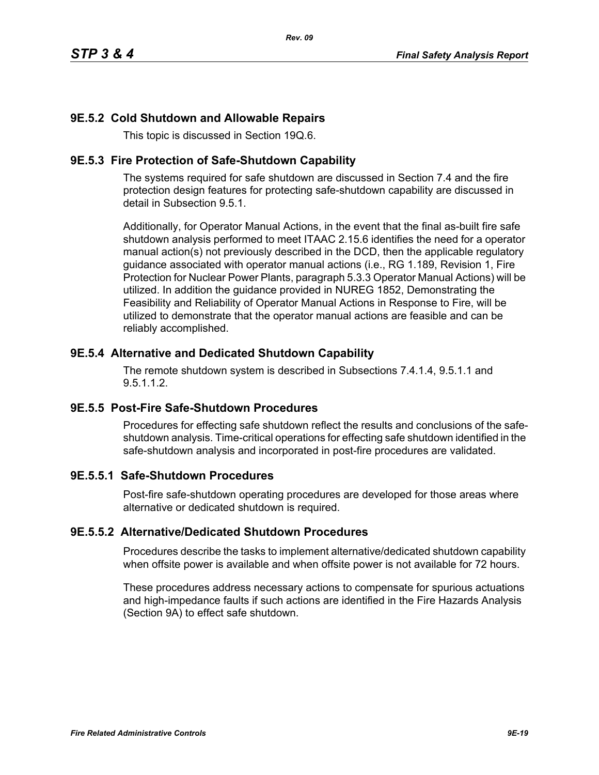## **9E.5.2 Cold Shutdown and Allowable Repairs**

This topic is discussed in Section 19Q.6.

### **9E.5.3 Fire Protection of Safe-Shutdown Capability**

The systems required for safe shutdown are discussed in Section 7.4 and the fire protection design features for protecting safe-shutdown capability are discussed in detail in Subsection 9.5.1.

Additionally, for Operator Manual Actions, in the event that the final as-built fire safe shutdown analysis performed to meet ITAAC 2.15.6 identifies the need for a operator manual action(s) not previously described in the DCD, then the applicable regulatory guidance associated with operator manual actions (i.e., RG 1.189, Revision 1, Fire Protection for Nuclear Power Plants, paragraph 5.3.3 Operator Manual Actions) will be utilized. In addition the guidance provided in NUREG 1852, Demonstrating the Feasibility and Reliability of Operator Manual Actions in Response to Fire, will be utilized to demonstrate that the operator manual actions are feasible and can be reliably accomplished.

### **9E.5.4 Alternative and Dedicated Shutdown Capability**

The remote shutdown system is described in Subsections 7.4.1.4, 9.5.1.1 and 9.5.1.1.2.

## **9E.5.5 Post-Fire Safe-Shutdown Procedures**

Procedures for effecting safe shutdown reflect the results and conclusions of the safeshutdown analysis. Time-critical operations for effecting safe shutdown identified in the safe-shutdown analysis and incorporated in post-fire procedures are validated.

## **9E.5.5.1 Safe-Shutdown Procedures**

Post-fire safe-shutdown operating procedures are developed for those areas where alternative or dedicated shutdown is required.

#### **9E.5.5.2 Alternative/Dedicated Shutdown Procedures**

Procedures describe the tasks to implement alternative/dedicated shutdown capability when offsite power is available and when offsite power is not available for 72 hours.

These procedures address necessary actions to compensate for spurious actuations and high-impedance faults if such actions are identified in the Fire Hazards Analysis (Section 9A) to effect safe shutdown.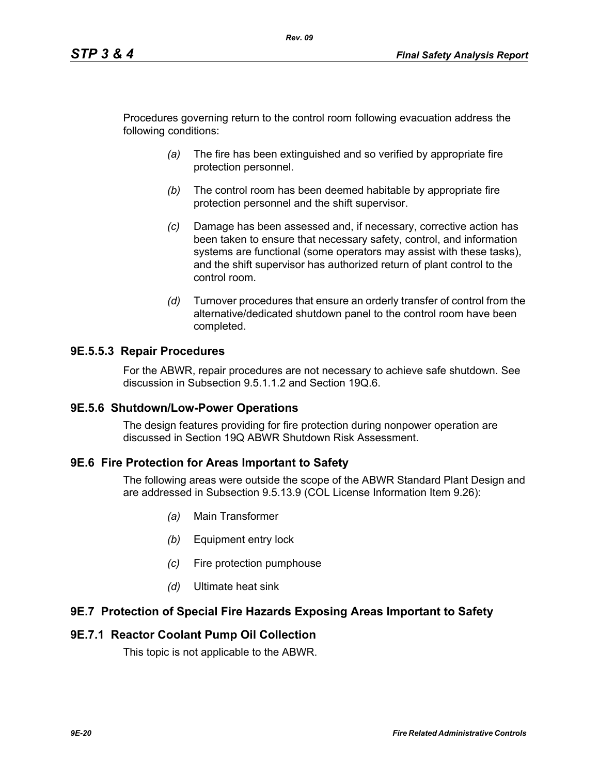Procedures governing return to the control room following evacuation address the following conditions:

*Rev. 09*

- *(a)* The fire has been extinguished and so verified by appropriate fire protection personnel.
- *(b)* The control room has been deemed habitable by appropriate fire protection personnel and the shift supervisor.
- *(c)* Damage has been assessed and, if necessary, corrective action has been taken to ensure that necessary safety, control, and information systems are functional (some operators may assist with these tasks), and the shift supervisor has authorized return of plant control to the control room.
- *(d)* Turnover procedures that ensure an orderly transfer of control from the alternative/dedicated shutdown panel to the control room have been completed.

### **9E.5.5.3 Repair Procedures**

For the ABWR, repair procedures are not necessary to achieve safe shutdown. See discussion in Subsection 9.5.1.1.2 and Section 19Q.6.

#### **9E.5.6 Shutdown/Low-Power Operations**

The design features providing for fire protection during nonpower operation are discussed in Section 19Q ABWR Shutdown Risk Assessment.

#### **9E.6 Fire Protection for Areas Important to Safety**

The following areas were outside the scope of the ABWR Standard Plant Design and are addressed in Subsection 9.5.13.9 (COL License Information Item 9.26):

- *(a)* Main Transformer
- *(b)* Equipment entry lock
- *(c)* Fire protection pumphouse
- *(d)* Ultimate heat sink

#### **9E.7 Protection of Special Fire Hazards Exposing Areas Important to Safety**

#### **9E.7.1 Reactor Coolant Pump Oil Collection**

This topic is not applicable to the ABWR.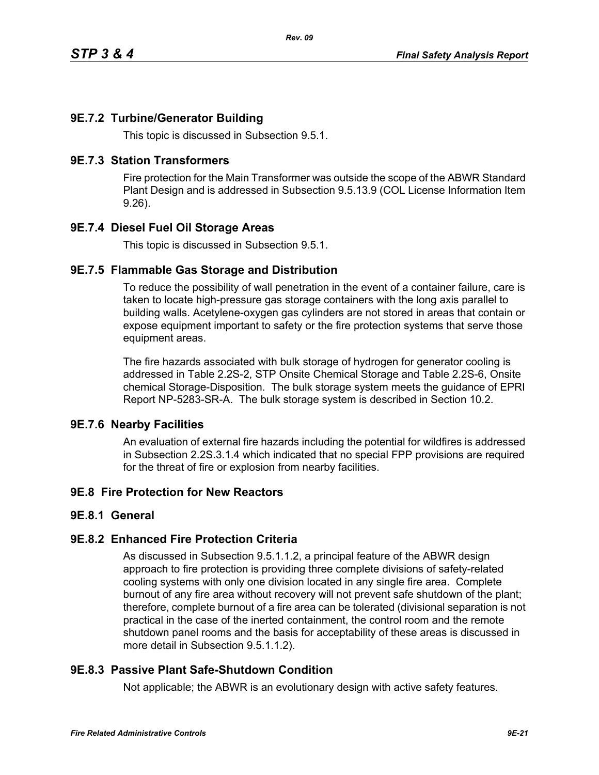## **9E.7.2 Turbine/Generator Building**

This topic is discussed in Subsection 9.5.1.

#### **9E.7.3 Station Transformers**

Fire protection for the Main Transformer was outside the scope of the ABWR Standard Plant Design and is addressed in Subsection 9.5.13.9 (COL License Information Item 9.26).

## **9E.7.4 Diesel Fuel Oil Storage Areas**

This topic is discussed in Subsection 9.5.1.

### **9E.7.5 Flammable Gas Storage and Distribution**

To reduce the possibility of wall penetration in the event of a container failure, care is taken to locate high-pressure gas storage containers with the long axis parallel to building walls. Acetylene-oxygen gas cylinders are not stored in areas that contain or expose equipment important to safety or the fire protection systems that serve those equipment areas.

The fire hazards associated with bulk storage of hydrogen for generator cooling is addressed in Table 2.2S-2, STP Onsite Chemical Storage and Table 2.2S-6, Onsite chemical Storage-Disposition. The bulk storage system meets the guidance of EPRI Report NP-5283-SR-A. The bulk storage system is described in Section 10.2.

#### **9E.7.6 Nearby Facilities**

An evaluation of external fire hazards including the potential for wildfires is addressed in Subsection 2.2S.3.1.4 which indicated that no special FPP provisions are required for the threat of fire or explosion from nearby facilities.

## **9E.8 Fire Protection for New Reactors**

#### **9E.8.1 General**

#### **9E.8.2 Enhanced Fire Protection Criteria**

As discussed in Subsection 9.5.1.1.2, a principal feature of the ABWR design approach to fire protection is providing three complete divisions of safety-related cooling systems with only one division located in any single fire area. Complete burnout of any fire area without recovery will not prevent safe shutdown of the plant; therefore, complete burnout of a fire area can be tolerated (divisional separation is not practical in the case of the inerted containment, the control room and the remote shutdown panel rooms and the basis for acceptability of these areas is discussed in more detail in Subsection 9.5.1.1.2).

## **9E.8.3 Passive Plant Safe-Shutdown Condition**

Not applicable; the ABWR is an evolutionary design with active safety features.